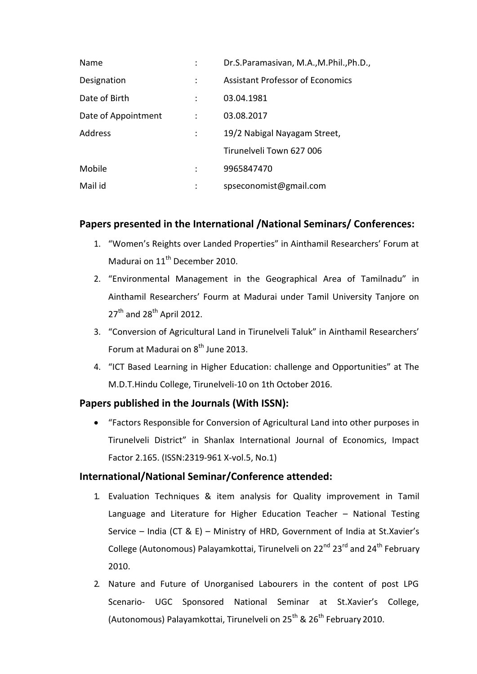| Name                | Dr.S.Paramasivan, M.A., M.Phil., Ph.D., |
|---------------------|-----------------------------------------|
| Designation         | <b>Assistant Professor of Economics</b> |
| Date of Birth       | 03.04.1981                              |
| Date of Appointment | 03.08.2017                              |
| Address             | 19/2 Nabigal Nayagam Street,            |
|                     | Tirunelveli Town 627 006                |
| Mobile              | 9965847470                              |
| Mail id             | spseconomist@gmail.com                  |

## **Papers presented in the International /National Seminars/ Conferences:**

- 1. "Women's Reights over Landed Properties" in Ainthamil Researchers' Forum at Madurai on 11<sup>th</sup> December 2010.
- 2. "Environmental Management in the Geographical Area of Tamilnadu" in Ainthamil Researchers' Fourm at Madurai under Tamil University Tanjore on  $27<sup>th</sup>$  and  $28<sup>th</sup>$  April 2012.
- 3. "Conversion of Agricultural Land in Tirunelveli Taluk" in Ainthamil Researchers' Forum at Madurai on  $8^{th}$  June 2013.
- 4. "ICT Based Learning in Higher Education: challenge and Opportunities" at The M.D.T.Hindu College, Tirunelveli-10 on 1th October 2016.

# **Papers published in the Journals (With ISSN):**

 "Factors Responsible for Conversion of Agricultural Land into other purposes in Tirunelveli District" in Shanlax International Journal of Economics, Impact Factor 2.165. (ISSN:2319-961 X-vol.5, No.1)

## **International/National Seminar/Conference attended:**

- 1. Evaluation Techniques & item analysis for Quality improvement in Tamil Language and Literature for Higher Education Teacher – National Testing Service – India (CT & E) – Ministry of HRD, Government of India at St.Xavier's College (Autonomous) Palayamkottai, Tirunelveli on 22<sup>nd</sup> 23<sup>rd</sup> and 24<sup>th</sup> February 2010.
- 2. Nature and Future of Unorganised Labourers in the content of post LPG Scenario- UGC Sponsored National Seminar at St.Xavier's College, (Autonomous) Palayamkottai, Tirunelveli on  $25^{th}$  &  $26^{th}$  February 2010.